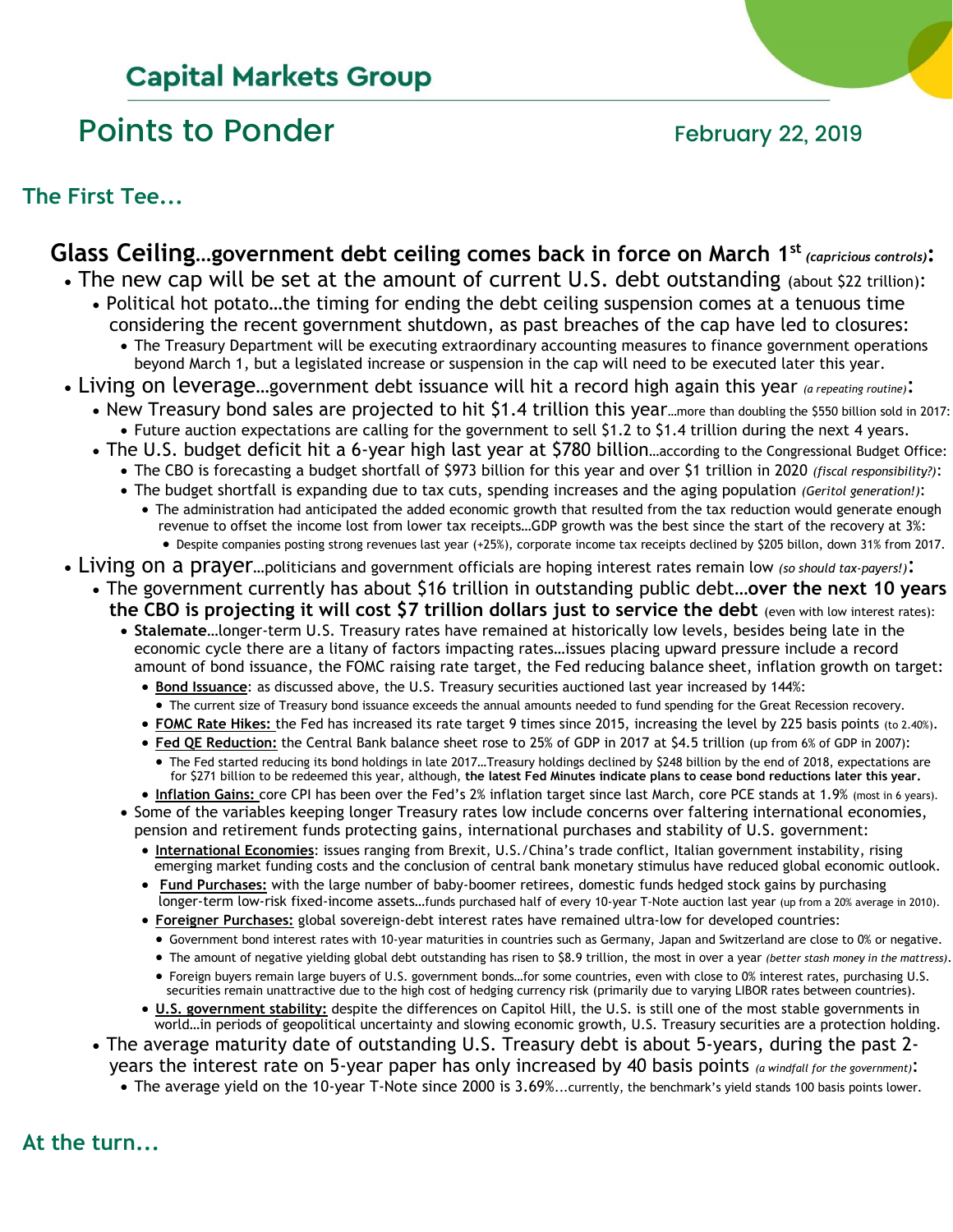# **Capital Markets Group**

# Points to Ponder The Research of the February 22, 2019

**The First Tee...**

#### **Glass Ceiling…government debt ceiling comes back in force on March 1st** *(capricious controls)***:** • The new cap will be set at the amount of current U.S. debt outstanding (about \$22 trillion): • Political hot potato…the timing for ending the debt ceiling suspension comes at a tenuous time considering the recent government shutdown, as past breaches of the cap have led to closures: • The Treasury Department will be executing extraordinary accounting measures to finance government operations beyond March 1, but a legislated increase or suspension in the cap will need to be executed later this year. • Living on leverage…government debt issuance will hit a record high again this year *(a repeating routine)*: • New Treasury bond sales are projected to hit \$1.4 trillion this year...more than doubling the \$550 billion sold in 2017: • Future auction expectations are calling for the government to sell \$1.2 to \$1.4 trillion during the next 4 years. • The U.S. budget deficit hit a 6-year high last year at \$780 billion…according to the Congressional Budget Office: • The CBO is forecasting a budget shortfall of \$973 billion for this year and over \$1 trillion in 2020 *(fiscal responsibility?)*:

- The budget shortfall is expanding due to tax cuts, spending increases and the aging population *(Geritol generation!)*:
	- The administration had anticipated the added economic growth that resulted from the tax reduction would generate enough revenue to offset the income lost from lower tax receipts…GDP growth was the best since the start of the recovery at 3%: • Despite companies posting strong revenues last year (+25%), corporate income tax receipts declined by \$205 billon, down 31% from 2017.
- Living on a prayer…politicians and government officials are hoping interest rates remain low *(so should tax-payers!)*:
	- The government currently has about \$16 trillion in outstanding public debt**…over the next 10 years the CBO is projecting it will cost \$7 trillion dollars just to service the debt** (even with low interest rates):
		- **Stalemate**…longer-term U.S. Treasury rates have remained at historically low levels, besides being late in the economic cycle there are a litany of factors impacting rates…issues placing upward pressure include a record amount of bond issuance, the FOMC raising rate target, the Fed reducing balance sheet, inflation growth on target:
			- **Bond Issuance**: as discussed above, the U.S. Treasury securities auctioned last year increased by 144%:
			- The current size of Treasury bond issuance exceeds the annual amounts needed to fund spending for the Great Recession recovery.
			- **FOMC Rate Hikes:** the Fed has increased its rate target 9 times since 2015, increasing the level by 225 basis points (to 2.40%).
			- **Fed QE Reduction:** the Central Bank balance sheet rose to 25% of GDP in 2017 at \$4.5 trillion (up from 6% of GDP in 2007): • The Fed started reducing its bond holdings in late 2017…Treasury holdings declined by \$248 billion by the end of 2018, expectations are for \$271 billion to be redeemed this year, although, **the latest Fed Minutes indicate plans to cease bond reductions later this year.**
		- **Inflation Gains:** core CPI has been over the Fed's 2% inflation target since last March, core PCE stands at 1.9% (most in 6 years). • Some of the variables keeping longer Treasury rates low include concerns over faltering international economies,
			- pension and retirement funds protecting gains, international purchases and stability of U.S. government: • **International Economies**: issues ranging from Brexit, U.S./China's trade conflict, Italian government instability, rising
			- emerging market funding costs and the conclusion of central bank monetary stimulus have reduced global economic outlook.
			- **Fund Purchases:** with the large number of baby-boomer retirees, domestic funds hedged stock gains by purchasing longer-term low-risk fixed-income assets…funds purchased half of every 10-year T-Note auction last year (up from a 20% average in 2010).
			- **Foreigner Purchases:** global sovereign-debt interest rates have remained ultra-low for developed countries:
				- Government bond interest rates with 10-year maturities in countries such as Germany, Japan and Switzerland are close to 0% or negative.
				- The amount of negative yielding global debt outstanding has risen to \$8.9 trillion, the most in over a year *(better stash money in the mattress)*.
			- Foreign buyers remain large buyers of U.S. government bonds…for some countries, even with close to 0% interest rates, purchasing U.S. securities remain unattractive due to the high cost of hedging currency risk (primarily due to varying LIBOR rates between countries).
			- **U.S. government stability:** despite the differences on Capitol Hill, the U.S. is still one of the most stable governments in world…in periods of geopolitical uncertainty and slowing economic growth, U.S. Treasury securities are a protection holding.
	- The average maturity date of outstanding U.S. Treasury debt is about 5-years, during the past 2 years the interest rate on 5-year paper has only increased by 40 basis points *(a windfall for the government)*:
		- The average yield on the 10-year T-Note since 2000 is 3.69%...currently, the benchmark's yield stands 100 basis points lower.

**At the turn...**